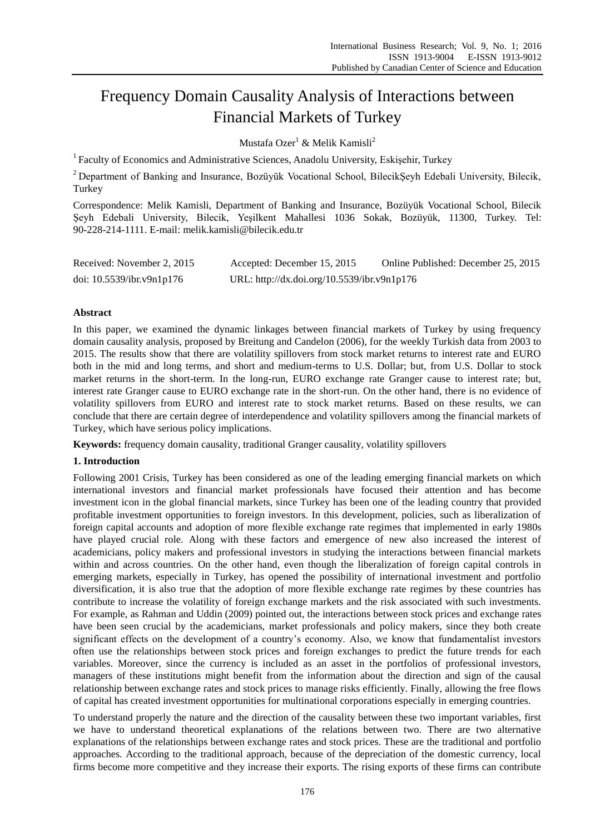# Frequency Domain Causality Analysis of Interactions between Financial Markets of Turkey

Mustafa Ozer<sup>1</sup> & Melik Kamisli<sup>2</sup>

 $1$  Faculty of Economics and Administrative Sciences, Anadolu University, Eskisehir, Turkey

<sup>2</sup> Department of Banking and Insurance, Bozüyük Vocational School, BilecikSeyh Edebali University, Bilecik, Turkey

Correspondence: Melik Kamisli, Department of Banking and Insurance, Bozüyük Vocational School, Bilecik Şeyh Edebali University, Bilecik, Yeşilkent Mahallesi 1036 Sokak, Bozüyük, 11300, Turkey. Tel: 90-228-214-1111. E-mail: melik.kamisli@bilecik.edu.tr

| Received: November 2, 2015 | Accepted: December 15, 2015                 | Online Published: December 25, 2015 |
|----------------------------|---------------------------------------------|-------------------------------------|
| doi: 10.5539/ibr.v9n1p176  | URL: http://dx.doi.org/10.5539/ibr.v9n1p176 |                                     |

# **Abstract**

In this paper, we examined the dynamic linkages between financial markets of Turkey by using frequency domain causality analysis, proposed by Breitung and Candelon (2006), for the weekly Turkish data from 2003 to 2015. The results show that there are volatility spillovers from stock market returns to interest rate and EURO both in the mid and long terms, and short and medium-terms to U.S. Dollar; but, from U.S. Dollar to stock market returns in the short-term. In the long-run, EURO exchange rate Granger cause to interest rate; but, interest rate Granger cause to EURO exchange rate in the short-run. On the other hand, there is no evidence of volatility spillovers from EURO and interest rate to stock market returns. Based on these results, we can conclude that there are certain degree of interdependence and volatility spillovers among the financial markets of Turkey, which have serious policy implications.

**Keywords:** frequency domain causality, traditional Granger causality, volatility spillovers

# **1. Introduction**

Following 2001 Crisis, Turkey has been considered as one of the leading emerging financial markets on which international investors and financial market professionals have focused their attention and has become investment icon in the global financial markets, since Turkey has been one of the leading country that provided profitable investment opportunities to foreign investors. In this development, policies, such as liberalization of foreign capital accounts and adoption of more flexible exchange rate regimes that implemented in early 1980s have played crucial role. Along with these factors and emergence of new also increased the interest of academicians, policy makers and professional investors in studying the interactions between financial markets within and across countries. On the other hand, even though the liberalization of foreign capital controls in emerging markets, especially in Turkey, has opened the possibility of international investment and portfolio diversification, it is also true that the adoption of more flexible exchange rate regimes by these countries has contribute to increase the volatility of foreign exchange markets and the risk associated with such investments. For example, as Rahman and Uddin (2009) pointed out, the interactions between stock prices and exchange rates have been seen crucial by the academicians, market professionals and policy makers, since they both create significant effects on the development of a country's economy. Also, we know that fundamentalist investors often use the relationships between stock prices and foreign exchanges to predict the future trends for each variables. Moreover, since the currency is included as an asset in the portfolios of professional investors, managers of these institutions might benefit from the information about the direction and sign of the causal relationship between exchange rates and stock prices to manage risks efficiently. Finally, allowing the free flows of capital has created investment opportunities for multinational corporations especially in emerging countries.

To understand properly the nature and the direction of the causality between these two important variables, first we have to understand theoretical explanations of the relations between two. There are two alternative explanations of the relationships between exchange rates and stock prices. These are the traditional and portfolio approaches. According to the traditional approach, because of the depreciation of the domestic currency, local firms become more competitive and they increase their exports. The rising exports of these firms can contribute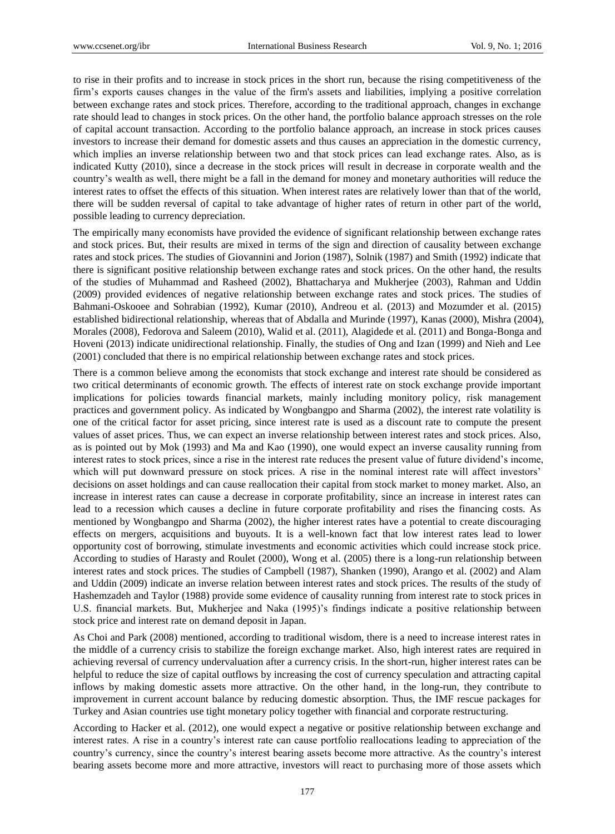to rise in their profits and to increase in stock prices in the short run, because the rising competitiveness of the firm's exports causes changes in the value of the firm's assets and liabilities, implying a positive correlation between exchange rates and stock prices. Therefore, according to the traditional approach, changes in exchange rate should lead to changes in stock prices. On the other hand, the portfolio balance approach stresses on the role of capital account transaction. According to the portfolio balance approach, an increase in stock prices causes investors to increase their demand for domestic assets and thus causes an appreciation in the domestic currency, which implies an inverse relationship between two and that stock prices can lead exchange rates. Also, as is indicated Kutty (2010), since a decrease in the stock prices will result in decrease in corporate wealth and the country's wealth as well, there might be a fall in the demand for money and monetary authorities will reduce the interest rates to offset the effects of this situation. When interest rates are relatively lower than that of the world, there will be sudden reversal of capital to take advantage of higher rates of return in other part of the world, possible leading to currency depreciation.

The empirically many economists have provided the evidence of significant relationship between exchange rates and stock prices. But, their results are mixed in terms of the sign and direction of causality between exchange rates and stock prices. The studies of Giovannini and Jorion (1987), Solnik (1987) and Smith (1992) indicate that there is significant positive relationship between exchange rates and stock prices. On the other hand, the results of the studies of Muhammad and Rasheed (2002), Bhattacharya and Mukherjee (2003), Rahman and Uddin (2009) provided evidences of negative relationship between exchange rates and stock prices. The studies of Bahmani-Oskooee and Sohrabian (1992), Kumar (2010), Andreou et al. (2013) and Mozumder et al. (2015) established bidirectional relationship, whereas that of Abdalla and Murinde (1997), Kanas (2000), Mishra (2004), Morales (2008), Fedorova and Saleem (2010), Walid et al. (2011), Alagidede et al. (2011) and Bonga-Bonga and Hoveni (2013) indicate unidirectional relationship. Finally, the studies of Ong and Izan (1999) and Nieh and Lee (2001) concluded that there is no empirical relationship between exchange rates and stock prices.

There is a common believe among the economists that stock exchange and interest rate should be considered as two critical determinants of economic growth. The effects of interest rate on stock exchange provide important implications for policies towards financial markets, mainly including monitory policy, risk management practices and government policy. As indicated by Wongbangpo and Sharma (2002), the interest rate volatility is one of the critical factor for asset pricing, since interest rate is used as a discount rate to compute the present values of asset prices. Thus, we can expect an inverse relationship between interest rates and stock prices. Also, as is pointed out by Mok (1993) and Ma and Kao (1990), one would expect an inverse causality running from interest rates to stock prices, since a rise in the interest rate reduces the present value of future dividend's income, which will put downward pressure on stock prices. A rise in the nominal interest rate will affect investors' decisions on asset holdings and can cause reallocation their capital from stock market to money market. Also, an increase in interest rates can cause a decrease in corporate profitability, since an increase in interest rates can lead to a recession which causes a decline in future corporate profitability and rises the financing costs. As mentioned by Wongbangpo and Sharma (2002), the higher interest rates have a potential to create discouraging effects on mergers, acquisitions and buyouts. It is a well-known fact that low interest rates lead to lower opportunity cost of borrowing, stimulate investments and economic activities which could increase stock price. According to studies of Harasty and Roulet (2000), Wong et al. (2005) there is a long-run relationship between interest rates and stock prices. The studies of Campbell (1987), Shanken (1990), Arango et al. (2002) and Alam and Uddin (2009) indicate an inverse relation between interest rates and stock prices. The results of the study of Hashemzadeh and Taylor (1988) provide some evidence of causality running from interest rate to stock prices in U.S. financial markets. But, Mukherjee and Naka (1995)'s findings indicate a positive relationship between stock price and interest rate on demand deposit in Japan.

As Choi and Park (2008) mentioned, according to traditional wisdom, there is a need to increase interest rates in the middle of a currency crisis to stabilize the foreign exchange market. Also, high interest rates are required in achieving reversal of currency undervaluation after a currency crisis. In the short-run, higher interest rates can be helpful to reduce the size of capital outflows by increasing the cost of currency speculation and attracting capital inflows by making domestic assets more attractive. On the other hand, in the long-run, they contribute to improvement in current account balance by reducing domestic absorption. Thus, the IMF rescue packages for Turkey and Asian countries use tight monetary policy together with financial and corporate restructuring.

According to Hacker et al. (2012), one would expect a negative or positive relationship between exchange and interest rates. A rise in a country's interest rate can cause portfolio reallocations leading to appreciation of the country's currency, since the country's interest bearing assets become more attractive. As the country's interest bearing assets become more and more attractive, investors will react to purchasing more of those assets which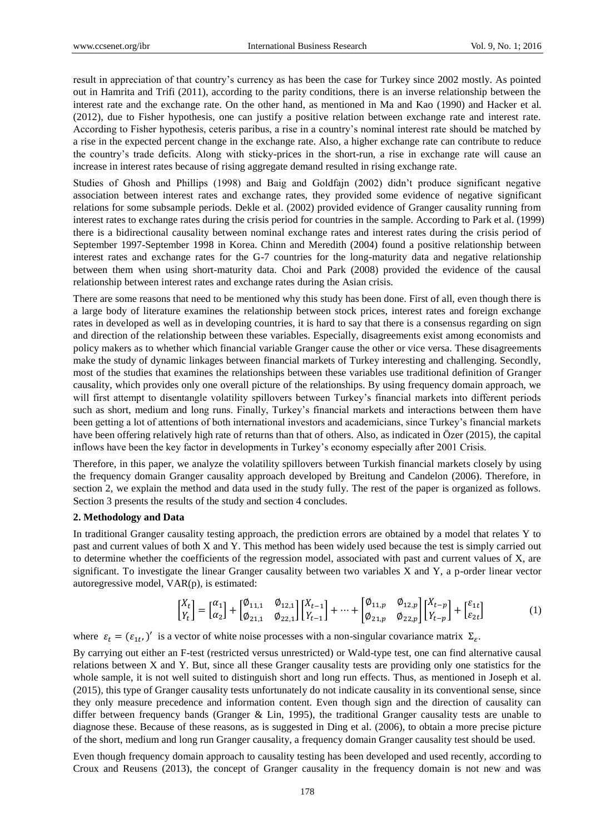result in appreciation of that country's currency as has been the case for Turkey since 2002 mostly. As pointed out in Hamrita and Trifi (2011), according to the parity conditions, there is an inverse relationship between the interest rate and the exchange rate. On the other hand, as mentioned in Ma and Kao (1990) and Hacker et al. (2012), due to Fisher hypothesis, one can justify a positive relation between exchange rate and interest rate. According to Fisher hypothesis, ceteris paribus, a rise in a country's nominal interest rate should be matched by a rise in the expected percent change in the exchange rate. Also, a higher exchange rate can contribute to reduce the country's trade deficits. Along with sticky-prices in the short-run, a rise in exchange rate will cause an increase in interest rates because of rising aggregate demand resulted in rising exchange rate.

Studies of Ghosh and Phillips (1998) and Baig and Goldfajn (2002) didn't produce significant negative association between interest rates and exchange rates, they provided some evidence of negative significant relations for some subsample periods. Dekle et al. (2002) provided evidence of Granger causality running from interest rates to exchange rates during the crisis period for countries in the sample. According to Park et al. (1999) there is a bidirectional causality between nominal exchange rates and interest rates during the crisis period of September 1997-September 1998 in Korea. Chinn and Meredith (2004) found a positive relationship between interest rates and exchange rates for the G-7 countries for the long-maturity data and negative relationship between them when using short-maturity data. Choi and Park (2008) provided the evidence of the causal relationship between interest rates and exchange rates during the Asian crisis.

There are some reasons that need to be mentioned why this study has been done. First of all, even though there is a large body of literature examines the relationship between stock prices, interest rates and foreign exchange rates in developed as well as in developing countries, it is hard to say that there is a consensus regarding on sign and direction of the relationship between these variables. Especially, disagreements exist among economists and policy makers as to whether which financial variable Granger cause the other or vice versa. These disagreements make the study of dynamic linkages between financial markets of Turkey interesting and challenging. Secondly, most of the studies that examines the relationships between these variables use traditional definition of Granger causality, which provides only one overall picture of the relationships. By using frequency domain approach, we will first attempt to disentangle volatility spillovers between Turkey's financial markets into different periods such as short, medium and long runs. Finally, Turkey's financial markets and interactions between them have been getting a lot of attentions of both international investors and academicians, since Turkey's financial markets have been offering relatively high rate of returns than that of others. Also, as indicated in Ö zer (2015), the capital inflows have been the key factor in developments in Turkey's economy especially after 2001 Crisis.

Therefore, in this paper, we analyze the volatility spillovers between Turkish financial markets closely by using the frequency domain Granger causality approach developed by Breitung and Candelon (2006). Therefore, in section 2, we explain the method and data used in the study fully. The rest of the paper is organized as follows. Section 3 presents the results of the study and section 4 concludes.

### **2. Methodology and Data**

In traditional Granger causality testing approach, the prediction errors are obtained by a model that relates Y to past and current values of both X and Y. This method has been widely used because the test is simply carried out to determine whether the coefficients of the regression model, associated with past and current values of X, are significant. To investigate the linear Granger causality between two variables X and Y, a p-order linear vector autoregressive model, VAR(p), is estimated:

$$
\begin{bmatrix} X_t \\ Y_t \end{bmatrix} = \begin{bmatrix} \alpha_1 \\ \alpha_2 \end{bmatrix} + \begin{bmatrix} \emptyset_{11,1} & \emptyset_{12,1} \\ \emptyset_{21,1} & \emptyset_{22,1} \end{bmatrix} \begin{bmatrix} X_{t-1} \\ Y_{t-1} \end{bmatrix} + \dots + \begin{bmatrix} \emptyset_{11,p} & \emptyset_{12,p} \\ \emptyset_{21,p} & \emptyset_{22,p} \end{bmatrix} \begin{bmatrix} X_{t-p} \\ Y_{t-p} \end{bmatrix} + \begin{bmatrix} \varepsilon_{1t} \\ \varepsilon_{2t} \end{bmatrix}
$$
 (1)

where  $\varepsilon_t = (\varepsilon_{1t})'$  is a vector of white noise processes with a non-singular covariance matrix  $\Sigma_{\varepsilon}$ .

By carrying out either an F-test (restricted versus unrestricted) or Wald-type test, one can find alternative causal relations between X and Y. But, since all these Granger causality tests are providing only one statistics for the whole sample, it is not well suited to distinguish short and long run effects. Thus, as mentioned in Joseph et al. (2015), this type of Granger causality tests unfortunately do not indicate causality in its conventional sense, since they only measure precedence and information content. Even though sign and the direction of causality can differ between frequency bands (Granger & Lin, 1995), the traditional Granger causality tests are unable to diagnose these. Because of these reasons, as is suggested in Ding et al. (2006), to obtain a more precise picture of the short, medium and long run Granger causality, a frequency domain Granger causality test should be used.

Even though frequency domain approach to causality testing has been developed and used recently, according to Croux and Reusens (2013), the concept of Granger causality in the frequency domain is not new and was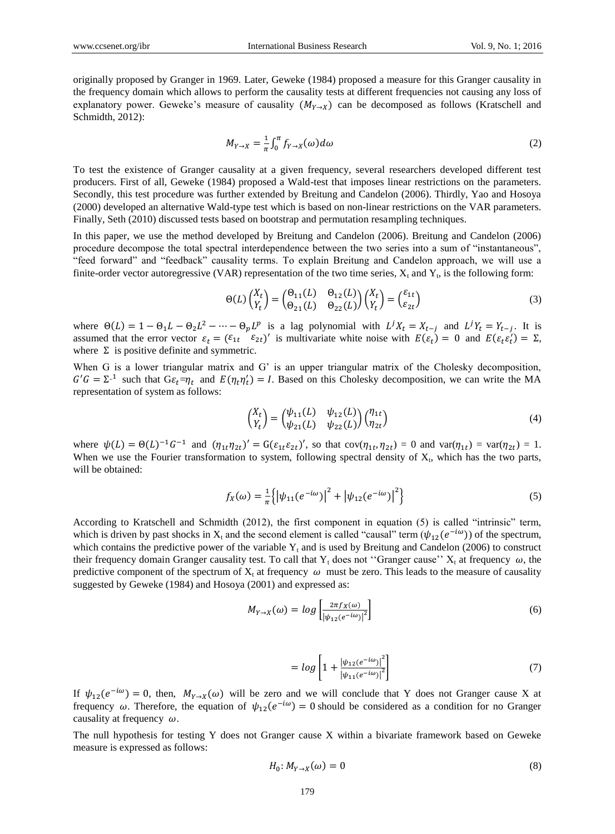originally proposed by Granger in 1969. Later, Geweke (1984) proposed a measure for this Granger causality in the frequency domain which allows to perform the causality tests at different frequencies not causing any loss of explanatory power. Geweke's measure of causality  $(M_{V\to X})$  can be decomposed as follows (Kratschell and Schmidth, 2012):

$$
M_{Y \to X} = \frac{1}{\pi} \int_0^{\pi} f_{Y \to X}(\omega) d\omega \tag{2}
$$

To test the existence of Granger causality at a given frequency, several researchers developed different test producers. First of all, Geweke (1984) proposed a Wald-test that imposes linear restrictions on the parameters. Secondly, this test procedure was further extended by Breitung and Candelon (2006). Thirdly, Yao and Hosoya (2000) developed an alternative Wald-type test which is based on non-linear restrictions on the VAR parameters. Finally, Seth (2010) discussed tests based on bootstrap and permutation resampling techniques.

In this paper, we use the method developed by Breitung and Candelon (2006). Breitung and Candelon (2006) procedure decompose the total spectral interdependence between the two series into a sum of "instantaneous", "feed forward" and "feedback" causality terms. To explain Breitung and Candelon approach, we will use a finite-order vector autoregressive (VAR) representation of the two time series,  $X_t$  and  $Y_t$ , is the following form:

$$
\Theta(L)\begin{pmatrix} X_t \\ Y_t \end{pmatrix} = \begin{pmatrix} \Theta_{11}(L) & \Theta_{12}(L) \\ \Theta_{21}(L) & \Theta_{22}(L) \end{pmatrix} \begin{pmatrix} X_t \\ Y_t \end{pmatrix} = \begin{pmatrix} \varepsilon_{1t} \\ \varepsilon_{2t} \end{pmatrix}
$$
(3)

where  $\Theta(L) = 1 - \Theta_1 L - \Theta_2 L^2 - \cdots - \Theta_p L^p$  is a lag polynomial with  $L^j X_t = X_{t-j}$  and  $L^j Y_t = Y_{t-j}$ . It is assumed that the error vector  $\varepsilon_t = (\varepsilon_{1t} \quad \varepsilon_{2t})'$  is multivariate white noise with  $E(\varepsilon_t) = 0$  and  $E(\varepsilon_t \varepsilon_t') = \Sigma$ , where  $\Sigma$  is positive definite and symmetric.

When G is a lower triangular matrix and G' is an upper triangular matrix of the Cholesky decomposition,  $G'G = \Sigma^{-1}$  such that  $G\varepsilon_t = \eta_t$  and  $E(\eta_t \eta_t') = I$ . Based on this Cholesky decomposition, we can write the MA representation of system as follows:

$$
\begin{pmatrix} X_t \\ Y_t \end{pmatrix} = \begin{pmatrix} \psi_{11}(L) & \psi_{12}(L) \\ \psi_{21}(L) & \psi_{22}(L) \end{pmatrix} \begin{pmatrix} \eta_{1t} \\ \eta_{2t} \end{pmatrix}
$$
 (4)

where  $\psi(L) = \Theta(L)^{-1} G^{-1}$  and  $(\eta_{1t} \eta_{2t})' = G(\varepsilon_{1t} \varepsilon_{2t})'$ , so that  $cov(\eta_{1t}, \eta_{2t}) = 0$  and  $var(\eta_{1t}) = var(\eta_{2t}) = 1$ . When we use the Fourier transformation to system, following spectral density of  $X_t$ , which has the two parts, will be obtained:

$$
f_X(\omega) = \frac{1}{\pi} \left\{ \left| \psi_{11}(e^{-i\omega}) \right|^2 + \left| \psi_{12}(e^{-i\omega}) \right|^2 \right\} \tag{5}
$$

According to Kratschell and Schmidth (2012), the first component in equation (5) is called "intrinsic" term, which is driven by past shocks in  $X_t$  and the second element is called "causal" term  $(\psi_{12}(e^{-i\omega}))$  of the spectrum, which contains the predictive power of the variable  $Y_t$  and is used by Breitung and Candelon (2006) to construct their frequency domain Granger causality test. To call that  $Y_t$  does not "Granger cause"  $X_t$  at frequency  $\omega$ , the predictive component of the spectrum of  $X_t$  at frequency  $\omega$  must be zero. This leads to the measure of causality suggested by Geweke (1984) and Hosoya (2001) and expressed as:

$$
M_{Y \to X}(\omega) = \log \left[ \frac{2\pi f_X(\omega)}{\left| \psi_{12}(e^{-i\omega}) \right|^2} \right] \tag{6}
$$

$$
= \log \left[ 1 + \frac{|\psi_{12}(e^{-i\omega})|^2}{|\psi_{11}(e^{-i\omega})|^2} \right] \tag{7}
$$

If  $\psi_{12}(e^{-i\omega}) = 0$ , then,  $M_{Y\to X}(\omega)$  will be zero and we will conclude that Y does not Granger cause X at frequency  $\omega$ . Therefore, the equation of  $\psi_{12}(e^{-i\omega}) = 0$  should be considered as a condition for no Granger causality at frequency  $\omega$ .

The null hypothesis for testing Y does not Granger cause X within a bivariate framework based on Geweke measure is expressed as follows:

$$
H_0: M_{Y \to X}(\omega) = 0 \tag{8}
$$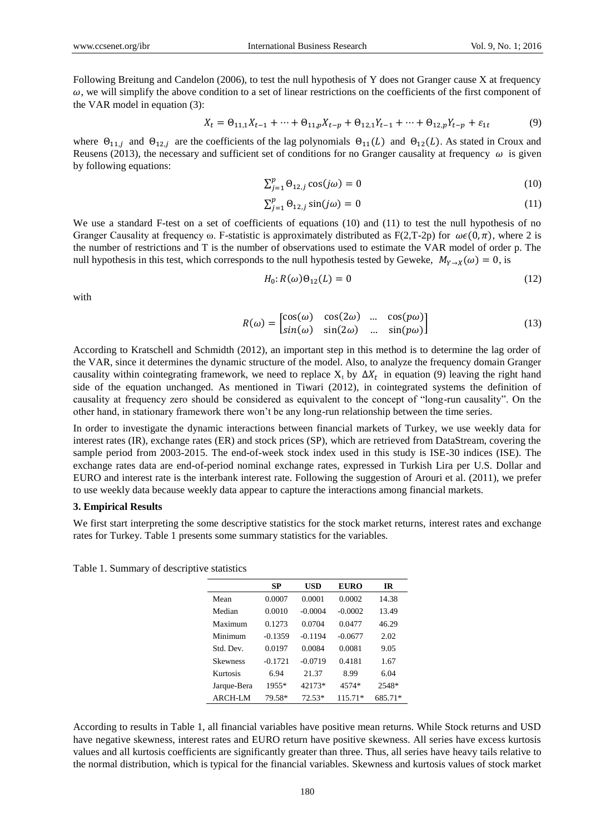Following Breitung and Candelon (2006), to test the null hypothesis of Y does not Granger cause X at frequency  $\omega$ , we will simplify the above condition to a set of linear restrictions on the coefficients of the first component of the VAR model in equation (3):

$$
X_t = \Theta_{11,1} X_{t-1} + \dots + \Theta_{11,p} X_{t-p} + \Theta_{12,1} Y_{t-1} + \dots + \Theta_{12,p} Y_{t-p} + \varepsilon_{1t} \tag{9}
$$

where  $\Theta_{11,j}$  and  $\Theta_{12,j}$  are the coefficients of the lag polynomials  $\Theta_{11}(L)$  and  $\Theta_{12}(L)$ . As stated in Croux and Reusens (2013), the necessary and sufficient set of conditions for no Granger causality at frequency  $\omega$  is given by following equations:

$$
\sum_{j=1}^{p} \Theta_{12,j} \cos(j\omega) = 0 \tag{10}
$$

$$
\sum_{j=1}^{p} \Theta_{12,j} \sin(j\omega) = 0 \tag{11}
$$

We use a standard F-test on a set of coefficients of equations (10) and (11) to test the null hypothesis of no Granger Causality at frequency  $\omega$ . F-statistic is approximately distributed as F(2,T-2p) for  $\omega \epsilon (0, \pi)$ , where 2 is the number of restrictions and T is the number of observations used to estimate the VAR model of order p. The null hypothesis in this test, which corresponds to the null hypothesis tested by Geweke,  $M_{Y\to X}(\omega) = 0$ , is

$$
H_0: R(\omega)\Theta_{12}(L) = 0\tag{12}
$$

with

$$
R(\omega) = \begin{bmatrix} \cos(\omega) & \cos(2\omega) & \dots & \cos(p\omega) \\ \sin(\omega) & \sin(2\omega) & \dots & \sin(p\omega) \end{bmatrix}
$$
(13)

According to Kratschell and Schmidth (2012), an important step in this method is to determine the lag order of the VAR, since it determines the dynamic structure of the model. Also, to analyze the frequency domain Granger causality within cointegrating framework, we need to replace  $X_t$  by  $\Delta X_t$  in equation (9) leaving the right hand side of the equation unchanged. As mentioned in Tiwari (2012), in cointegrated systems the definition of causality at frequency zero should be considered as equivalent to the concept of "long-run causality". On the other hand, in stationary framework there won't be any long-run relationship between the time series.

In order to investigate the dynamic interactions between financial markets of Turkey, we use weekly data for interest rates (IR), exchange rates (ER) and stock prices (SP), which are retrieved from DataStream, covering the sample period from 2003-2015. The end-of-week stock index used in this study is ISE-30 indices (ISE). The exchange rates data are end-of-period nominal exchange rates, expressed in Turkish Lira per U.S. Dollar and EURO and interest rate is the interbank interest rate. Following the suggestion of Arouri et al. (2011), we prefer to use weekly data because weekly data appear to capture the interactions among financial markets.

#### **3. Empirical Results**

We first start interpreting the some descriptive statistics for the stock market returns, interest rates and exchange rates for Turkey. Table 1 presents some summary statistics for the variables.

Table 1. Summary of descriptive statistics

|                 | SP        | USD       | <b>EURO</b> | <b>IR</b> |
|-----------------|-----------|-----------|-------------|-----------|
| Mean            | 0.0007    | 0.0001    | 0.0002      | 14.38     |
| Median          | 0.0010    | $-0.0004$ | $-0.0002$   | 13.49     |
| Maximum         | 0.1273    | 0.0704    | 0.0477      | 46.29     |
| Minimum         | $-0.1359$ | $-0.1194$ | $-0.0677$   | 2.02      |
| Std. Dev.       | 0.0197    | 0.0084    | 0.0081      | 9.05      |
| <b>Skewness</b> | $-0.1721$ | $-0.0719$ | 0.4181      | 1.67      |
| Kurtosis        | 6.94      | 21.37     | 8.99        | 6.04      |
| Jarque-Bera     | 1955*     | 42173*    | 4574*       | 2548*     |
| <b>ARCH-LM</b>  | 79.58*    | $72.53*$  | 115.71*     | 685.71*   |

According to results in Table 1, all financial variables have positive mean returns. While Stock returns and USD have negative skewness, interest rates and EURO return have positive skewness. All series have excess kurtosis values and all kurtosis coefficients are significantly greater than three. Thus, all series have heavy tails relative to the normal distribution, which is typical for the financial variables. Skewness and kurtosis values of stock market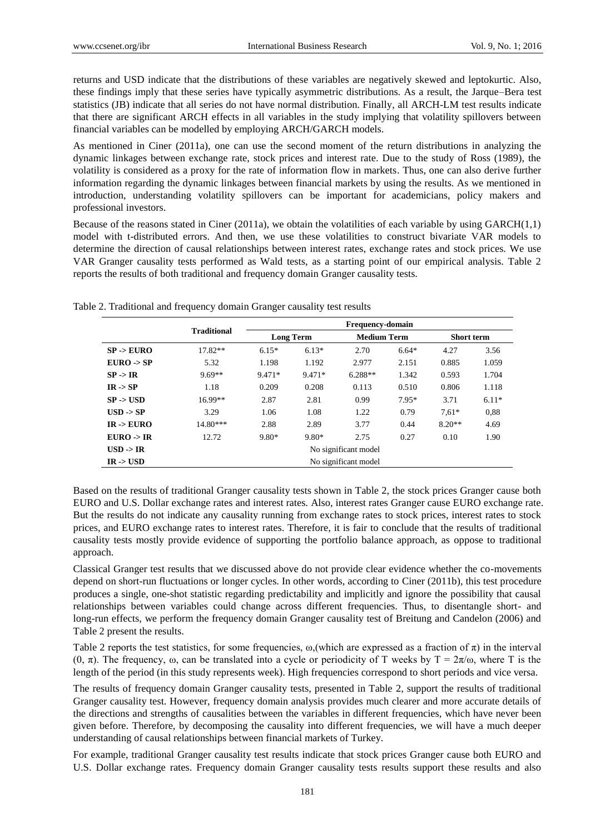returns and USD indicate that the distributions of these variables are negatively skewed and leptokurtic. Also, these findings imply that these series have typically asymmetric distributions. As a result, the Jarque–Bera test statistics (JB) indicate that all series do not have normal distribution. Finally, all ARCH-LM test results indicate that there are significant ARCH effects in all variables in the study implying that volatility spillovers between financial variables can be modelled by employing ARCH/GARCH models.

As mentioned in Ciner (2011a), one can use the second moment of the return distributions in analyzing the dynamic linkages between exchange rate, stock prices and interest rate. Due to the study of Ross (1989), the volatility is considered as a proxy for the rate of information flow in markets. Thus, one can also derive further information regarding the dynamic linkages between financial markets by using the results. As we mentioned in introduction, understanding volatility spillovers can be important for academicians, policy makers and professional investors.

Because of the reasons stated in Ciner (2011a), we obtain the volatilities of each variable by using  $GARCH(1,1)$ model with t-distributed errors. And then, we use these volatilities to construct bivariate VAR models to determine the direction of causal relationships between interest rates, exchange rates and stock prices. We use VAR Granger causality tests performed as Wald tests, as a starting point of our empirical analysis. Table 2 reports the results of both traditional and frequency domain Granger causality tests.

|  | Table 2. Traditional and frequency domain Granger causality test results |  |  |
|--|--------------------------------------------------------------------------|--|--|
|  |                                                                          |  |  |

|                       | <b>Traditional</b>   | <b>Frequency-domain</b> |         |                    |         |                   |         |  |
|-----------------------|----------------------|-------------------------|---------|--------------------|---------|-------------------|---------|--|
|                       |                      | <b>Long Term</b>        |         | <b>Medium Term</b> |         | <b>Short term</b> |         |  |
| SP > EURO             | $17.82**$            | $6.15*$                 | $6.13*$ | 2.70               | $6.64*$ | 4.27              | 3.56    |  |
| $EURO \rightarrow SP$ | 5.32                 | 1.198                   | 1.192   | 2.977              | 2.151   | 0.885             | 1.059   |  |
| $SP \rightarrow IR$   | $9.69**$             | 9.471*                  | 9.471*  | $6.288**$          | 1.342   | 0.593             | 1.704   |  |
| $IR \rightarrow SP$   | 1.18                 | 0.209                   | 0.208   | 0.113              | 0.510   | 0.806             | 1.118   |  |
| $SP \rightarrow USD$  | $16.99**$            | 2.87                    | 2.81    | 0.99               | 7.95*   | 3.71              | $6.11*$ |  |
| $USD \rightarrow SP$  | 3.29                 | 1.06                    | 1.08    | 1.22               | 0.79    | $7.61*$           | 0.88    |  |
| $IR \rightarrow EURO$ | $14.80***$           | 2.88                    | 2.89    | 3.77               | 0.44    | $8.20**$          | 4.69    |  |
| $EURO \rightarrow IR$ | 12.72                | $9.80*$                 | $9.80*$ | 2.75               | 0.27    | 0.10              | 1.90    |  |
| $USD \rightarrow IR$  | No significant model |                         |         |                    |         |                   |         |  |
| $IR \rightarrow USD$  | No significant model |                         |         |                    |         |                   |         |  |

Based on the results of traditional Granger causality tests shown in Table 2, the stock prices Granger cause both EURO and U.S. Dollar exchange rates and interest rates. Also, interest rates Granger cause EURO exchange rate. But the results do not indicate any causality running from exchange rates to stock prices, interest rates to stock prices, and EURO exchange rates to interest rates. Therefore, it is fair to conclude that the results of traditional causality tests mostly provide evidence of supporting the portfolio balance approach, as oppose to traditional approach.

Classical Granger test results that we discussed above do not provide clear evidence whether the co-movements depend on short-run fluctuations or longer cycles. In other words, according to Ciner (2011b), this test procedure produces a single, one-shot statistic regarding predictability and implicitly and ignore the possibility that causal relationships between variables could change across different frequencies. Thus, to disentangle short- and long-run effects, we perform the frequency domain Granger causality test of Breitung and Candelon (2006) and Table 2 present the results.

Table 2 reports the test statistics, for some frequencies,  $\omega$ , (which are expressed as a fraction of  $\pi$ ) in the interval (0, π). The frequency, ω, can be translated into a cycle or periodicity of T weeks by  $T = 2\pi/\omega$ , where T is the length of the period (in this study represents week). High frequencies correspond to short periods and vice versa.

The results of frequency domain Granger causality tests, presented in Table 2, support the results of traditional Granger causality test. However, frequency domain analysis provides much clearer and more accurate details of the directions and strengths of causalities between the variables in different frequencies, which have never been given before. Therefore, by decomposing the causality into different frequencies, we will have a much deeper understanding of causal relationships between financial markets of Turkey.

For example, traditional Granger causality test results indicate that stock prices Granger cause both EURO and U.S. Dollar exchange rates. Frequency domain Granger causality tests results support these results and also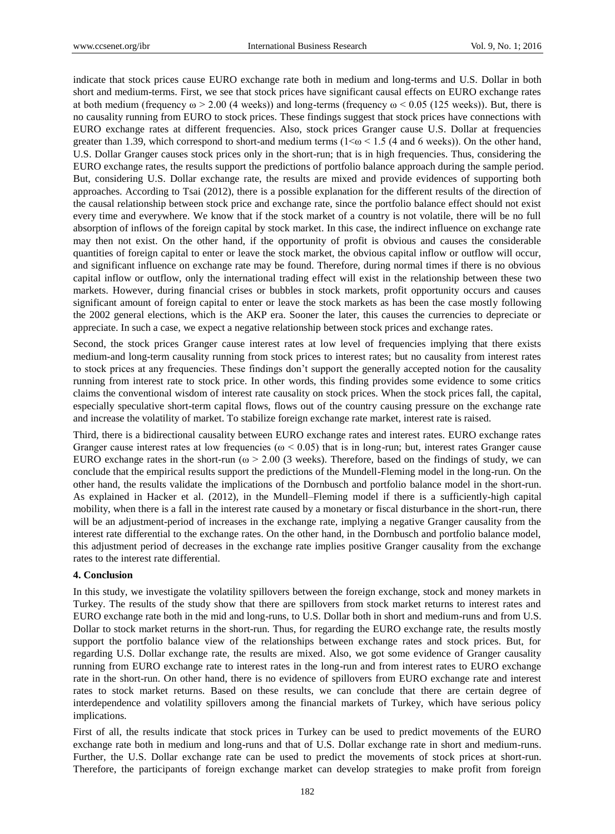indicate that stock prices cause EURO exchange rate both in medium and long-terms and U.S. Dollar in both short and medium-terms. First, we see that stock prices have significant causal effects on EURO exchange rates at both medium (frequency  $\omega > 2.00$  (4 weeks)) and long-terms (frequency  $\omega < 0.05$  (125 weeks)). But, there is no causality running from EURO to stock prices. These findings suggest that stock prices have connections with EURO exchange rates at different frequencies. Also, stock prices Granger cause U.S. Dollar at frequencies greater than 1.39, which correspond to short-and medium terms ( $1 < \omega < 1.5$  (4 and 6 weeks)). On the other hand, U.S. Dollar Granger causes stock prices only in the short-run; that is in high frequencies. Thus, considering the EURO exchange rates, the results support the predictions of portfolio balance approach during the sample period. But, considering U.S. Dollar exchange rate, the results are mixed and provide evidences of supporting both approaches. According to Tsai (2012), there is a possible explanation for the different results of the direction of the causal relationship between stock price and exchange rate, since the portfolio balance effect should not exist every time and everywhere. We know that if the stock market of a country is not volatile, there will be no full absorption of inflows of the foreign capital by stock market. In this case, the indirect influence on exchange rate may then not exist. On the other hand, if the opportunity of profit is obvious and causes the considerable quantities of foreign capital to enter or leave the stock market, the obvious capital inflow or outflow will occur, and significant influence on exchange rate may be found. Therefore, during normal times if there is no obvious capital inflow or outflow, only the international trading effect will exist in the relationship between these two markets. However, during financial crises or bubbles in stock markets, profit opportunity occurs and causes significant amount of foreign capital to enter or leave the stock markets as has been the case mostly following the 2002 general elections, which is the AKP era. Sooner the later, this causes the currencies to depreciate or appreciate. In such a case, we expect a negative relationship between stock prices and exchange rates.

Second, the stock prices Granger cause interest rates at low level of frequencies implying that there exists medium-and long-term causality running from stock prices to interest rates; but no causality from interest rates to stock prices at any frequencies. These findings don't support the generally accepted notion for the causality running from interest rate to stock price. In other words, this finding provides some evidence to some critics claims the conventional wisdom of interest rate causality on stock prices. When the stock prices fall, the capital, especially speculative short-term capital flows, flows out of the country causing pressure on the exchange rate and increase the volatility of market. To stabilize foreign exchange rate market, interest rate is raised.

Third, there is a bidirectional causality between EURO exchange rates and interest rates. EURO exchange rates Granger cause interest rates at low frequencies ( $\omega$  < 0.05) that is in long-run; but, interest rates Granger cause EURO exchange rates in the short-run ( $\omega > 2.00$  (3 weeks). Therefore, based on the findings of study, we can conclude that the empirical results support the predictions of the Mundell-Fleming model in the long-run. On the other hand, the results validate the implications of the Dornbusch and portfolio balance model in the short-run. As explained in Hacker et al. (2012), in the Mundell–Fleming model if there is a sufficiently-high capital mobility, when there is a fall in the interest rate caused by a monetary or fiscal disturbance in the short-run, there will be an adjustment-period of increases in the exchange rate, implying a negative Granger causality from the interest rate differential to the exchange rates. On the other hand, in the Dornbusch and portfolio balance model, this adjustment period of decreases in the exchange rate implies positive Granger causality from the exchange rates to the interest rate differential.

#### **4. Conclusion**

In this study, we investigate the volatility spillovers between the foreign exchange, stock and money markets in Turkey. The results of the study show that there are spillovers from stock market returns to interest rates and EURO exchange rate both in the mid and long-runs, to U.S. Dollar both in short and medium-runs and from U.S. Dollar to stock market returns in the short-run. Thus, for regarding the EURO exchange rate, the results mostly support the portfolio balance view of the relationships between exchange rates and stock prices. But, for regarding U.S. Dollar exchange rate, the results are mixed. Also, we got some evidence of Granger causality running from EURO exchange rate to interest rates in the long-run and from interest rates to EURO exchange rate in the short-run. On other hand, there is no evidence of spillovers from EURO exchange rate and interest rates to stock market returns. Based on these results, we can conclude that there are certain degree of interdependence and volatility spillovers among the financial markets of Turkey, which have serious policy implications.

First of all, the results indicate that stock prices in Turkey can be used to predict movements of the EURO exchange rate both in medium and long-runs and that of U.S. Dollar exchange rate in short and medium-runs. Further, the U.S. Dollar exchange rate can be used to predict the movements of stock prices at short-run. Therefore, the participants of foreign exchange market can develop strategies to make profit from foreign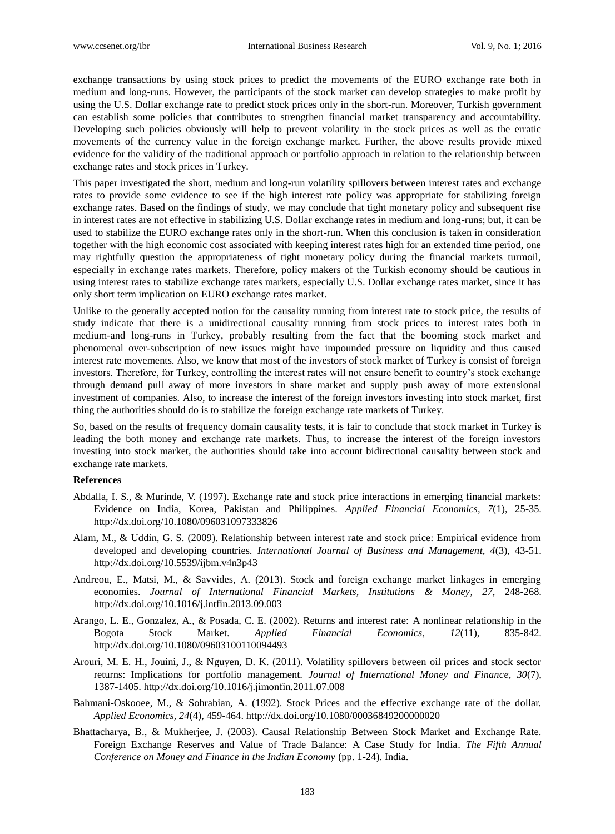exchange transactions by using stock prices to predict the movements of the EURO exchange rate both in medium and long-runs. However, the participants of the stock market can develop strategies to make profit by using the U.S. Dollar exchange rate to predict stock prices only in the short-run. Moreover, Turkish government can establish some policies that contributes to strengthen financial market transparency and accountability. Developing such policies obviously will help to prevent volatility in the stock prices as well as the erratic movements of the currency value in the foreign exchange market. Further, the above results provide mixed evidence for the validity of the traditional approach or portfolio approach in relation to the relationship between exchange rates and stock prices in Turkey.

This paper investigated the short, medium and long-run volatility spillovers between interest rates and exchange rates to provide some evidence to see if the high interest rate policy was appropriate for stabilizing foreign exchange rates. Based on the findings of study, we may conclude that tight monetary policy and subsequent rise in interest rates are not effective in stabilizing U.S. Dollar exchange rates in medium and long-runs; but, it can be used to stabilize the EURO exchange rates only in the short-run. When this conclusion is taken in consideration together with the high economic cost associated with keeping interest rates high for an extended time period, one may rightfully question the appropriateness of tight monetary policy during the financial markets turmoil, especially in exchange rates markets. Therefore, policy makers of the Turkish economy should be cautious in using interest rates to stabilize exchange rates markets, especially U.S. Dollar exchange rates market, since it has only short term implication on EURO exchange rates market.

Unlike to the generally accepted notion for the causality running from interest rate to stock price, the results of study indicate that there is a unidirectional causality running from stock prices to interest rates both in medium-and long-runs in Turkey, probably resulting from the fact that the booming stock market and phenomenal over-subscription of new issues might have impounded pressure on liquidity and thus caused interest rate movements. Also, we know that most of the investors of stock market of Turkey is consist of foreign investors. Therefore, for Turkey, controlling the interest rates will not ensure benefit to country's stock exchange through demand pull away of more investors in share market and supply push away of more extensional investment of companies. Also, to increase the interest of the foreign investors investing into stock market, first thing the authorities should do is to stabilize the foreign exchange rate markets of Turkey.

So, based on the results of frequency domain causality tests, it is fair to conclude that stock market in Turkey is leading the both money and exchange rate markets. Thus, to increase the interest of the foreign investors investing into stock market, the authorities should take into account bidirectional causality between stock and exchange rate markets.

#### **References**

- Abdalla, I. S., & Murinde, V. (1997). Exchange rate and stock price interactions in emerging financial markets: Evidence on India, Korea, Pakistan and Philippines. *Applied Financial Economics, 7*(1), 25-35. http://dx.doi.org/10.1080/096031097333826
- Alam, M., & Uddin, G. S. (2009). Relationship between interest rate and stock price: Empirical evidence from developed and developing countries. *International Journal of Business and Management, 4*(3), 43-51. http://dx.doi.org/10.5539/ijbm.v4n3p43
- Andreou, E., Matsi, M., & Savvides, A. (2013). Stock and foreign exchange market linkages in emerging economies. *Journal of International Financial Markets, Institutions & Money, 27*, 248-268. http://dx.doi.org/10.1016/j.intfin.2013.09.003
- Arango, L. E., Gonzalez, A., & Posada, C. E. (2002). Returns and interest rate: A nonlinear relationship in the Bogota Stock Market. *Applied Financial Economics, 12*(11), 835-842. http://dx.doi.org/10.1080/09603100110094493
- Arouri, M. E. H., Jouini, J., & Nguyen, D. K. (2011). Volatility spillovers between oil prices and stock sector returns: Implications for portfolio management. *Journal of International Money and Finance, 30*(7), 1387-1405. http://dx.doi.org/10.1016/j.jimonfin.2011.07.008
- Bahmani-Oskooee, M., & Sohrabian, A. (1992). Stock Prices and the effective exchange rate of the dollar. *Applied Economics, 24*(4), 459-464. http://dx.doi.org/10.1080/00036849200000020
- Bhattacharya, B., & Mukherjee, J. (2003). Causal Relationship Between Stock Market and Exchange Rate. Foreign Exchange Reserves and Value of Trade Balance: A Case Study for India. *The Fifth Annual Conference on Money and Finance in the Indian Economy* (pp. 1-24). India.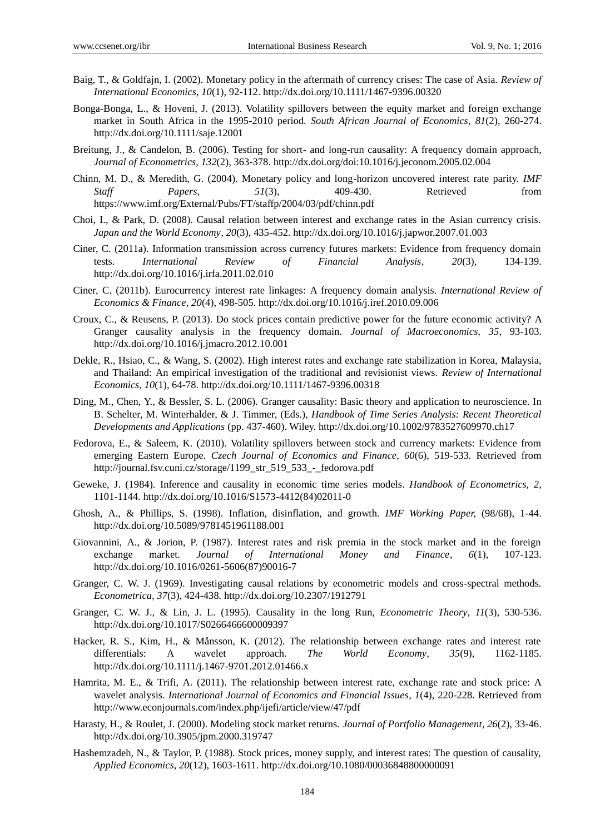- Baig, T., & Goldfajn, I. (2002). Monetary policy in the aftermath of currency crises: The case of Asia. *Review of International Economics, 10*(1), 92-112. http://dx.doi.org/10.1111/1467-9396.00320
- Bonga-Bonga, L., & Hoveni, J. (2013). Volatility spillovers between the equity market and foreign exchange market in South Africa in the 1995-2010 period. *South African Journal of Economics, 81*(2), 260-274. http://dx.doi.org/10.1111/saje.12001
- Breitung, J., & Candelon, B. (2006). Testing for short- and long-run causality: A frequency domain approach, *Journal of Econometrics, 132*(2), 363-378. http://dx.doi.org/doi:10.1016/j.jeconom.2005.02.004
- Chinn, M. D., & Meredith, G. (2004). Monetary policy and long-horizon uncovered interest rate parity. *IMF Staff Papers*, *51*(3), 409-430. Retrieved from https://www.imf.org/External/Pubs/FT/staffp/2004/03/pdf/chinn.pdf
- Choi, I., & Park, D. (2008). Causal relation between interest and exchange rates in the Asian currency crisis. *Japan and the World Economy, 20*(3), 435-452. http://dx.doi.org/10.1016/j.japwor.2007.01.003
- Ciner, C. (2011a). Information transmission across currency futures markets: Evidence from frequency domain tests. *International Review of Financial Analysis, 20*(3), 134-139. http://dx.doi.org/10.1016/j.irfa.2011.02.010
- Ciner, C. (2011b). Eurocurrency interest rate linkages: A frequency domain analysis. *International Review of Economics & Finance, 20*(4), 498-505. http://dx.doi.org/10.1016/j.iref.2010.09.006
- Croux, C., & Reusens, P. (2013). Do stock prices contain predictive power for the future economic activity? A Granger causality analysis in the frequency domain. *Journal of Macroeconomics, 35*, 93-103. http://dx.doi.org/10.1016/j.jmacro.2012.10.001
- Dekle, R., Hsiao, C., & Wang, S. (2002). High interest rates and exchange rate stabilization in Korea, Malaysia, and Thailand: An empirical investigation of the traditional and revisionist views. *Review of International Economics, 10*(1), 64-78. http://dx.doi.org/10.1111/1467-9396.00318
- Ding, M., Chen, Y., & Bessler, S. L. (2006). Granger causality: Basic theory and application to neuroscience. In B. Schelter, M. Winterhalder, & J. Timmer, (Eds.), *Handbook of Time Series Analysis: Recent Theoretical Developments and Applications* (pp. 437-460). Wiley. http://dx.doi.org/10.1002/9783527609970.ch17
- Fedorova, E., & Saleem, K. (2010). Volatility spillovers between stock and currency markets: Evidence from emerging Eastern Europe. *Czech Journal of Economics and Finance, 60*(6), 519-533. Retrieved from http://journal.fsv.cuni.cz/storage/1199\_str\_519\_533\_-\_fedorova.pdf
- Geweke, J. (1984). Inference and causality in economic time series models. *Handbook of Econometrics, 2*, 1101-1144. http://dx.doi.org/10.1016/S1573-4412(84)02011-0
- Ghosh, A., & Phillips, S. (1998). Inflation, disinflation, and growth. *IMF Working Paper,* (98/68), 1-44. http://dx.doi.org/10.5089/9781451961188.001
- Giovannini, A., & Jorion, P. (1987). Interest rates and risk premia in the stock market and in the foreign exchange market. *Journal of International Money and Finance*, *6*(1), 107-123. http://dx.doi.org/10.1016/0261-5606(87)90016-7
- Granger, C. W. J. (1969). Investigating causal relations by econometric models and cross-spectral methods. *Econometrica, 37*(3), 424-438. http://dx.doi.org/10.2307/1912791
- Granger, C. W. J., & Lin, J. L. (1995). Causality in the long Run, *Econometric Theory, 11*(3), 530-536. http://dx.doi.org/10.1017/S0266466600009397
- Hacker, R. S., Kim, H., & Månsson, K. (2012). The relationship between exchange rates and interest rate differentials: A wavelet approach. *The World Economy, 35*(9), 1162-1185. http://dx.doi.org/10.1111/j.1467-9701.2012.01466.x
- Hamrita, M. E., & Trifi, A. (2011). The relationship between interest rate, exchange rate and stock price: A wavelet analysis. *International Journal of Economics and Financial Issues, 1*(4), 220-228. Retrieved from http://www.econjournals.com/index.php/ijefi/article/view/47/pdf
- Harasty, H., & Roulet, J. (2000). Modeling stock market returns. *Journal of Portfolio Management, 26*(2), 33-46. http://dx.doi.org/10.3905/jpm.2000.319747
- Hashemzadeh, N., & Taylor, P. (1988). Stock prices, money supply, and interest rates: The question of causality, *Applied Economics, 20*(12), 1603-1611. http://dx.doi.org/10.1080/00036848800000091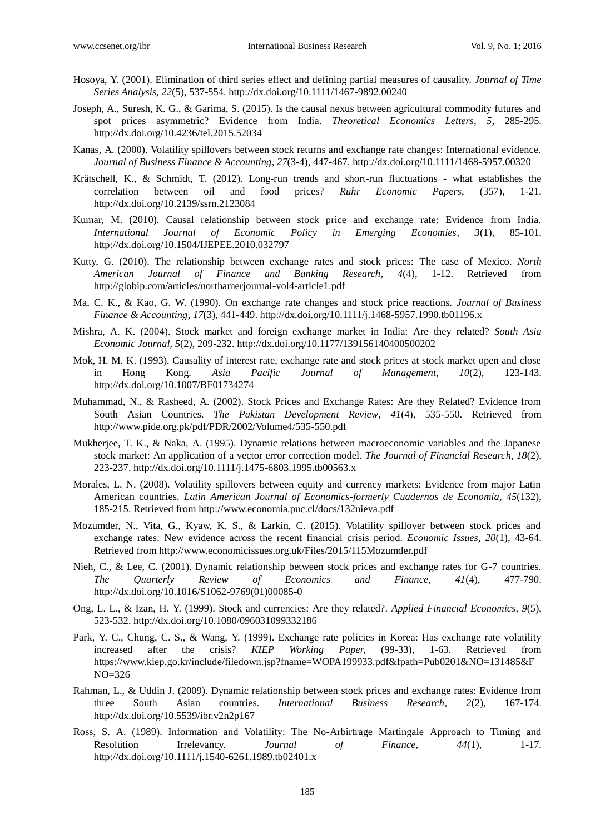- Hosoya, Y. (2001). Elimination of third series effect and defining partial measures of causality. *Journal of Time Series Analysis, 22*(5), 537-554. http://dx.doi.org/10.1111/1467-9892.00240
- Joseph, A., Suresh, K. G., & Garima, S. (2015). Is the causal nexus between agricultural commodity futures and spot prices asymmetric? Evidence from India. *Theoretical Economics Letters, 5*, 285-295. http://dx.doi.org/10.4236/tel.2015.52034
- Kanas, A. (2000). Volatility spillovers between stock returns and exchange rate changes: International evidence. *Journal of Business Finance & Accounting, 27*(3-4), 447-467. http://dx.doi.org/10.1111/1468-5957.00320
- Krätschell, K., & Schmidt, T. (2012). Long-run trends and short-run fluctuations what establishes the correlation between oil and food prices? *Ruhr Economic Papers,* (357), 1-21. http://dx.doi.org/10.2139/ssrn.2123084
- Kumar, M. (2010). Causal relationship between stock price and exchange rate: Evidence from India. *International Journal of Economic Policy in Emerging Economies, 3*(1), 85-101. http://dx.doi.org/10.1504/IJEPEE.2010.032797
- Kutty, G. (2010). The relationship between exchange rates and stock prices: The case of Mexico. *North American Journal of Finance and Banking Research, 4*(4), 1-12. Retrieved from http://globip.com/articles/northamerjournal-vol4-article1.pdf
- Ma, C. K., & Kao, G. W. (1990). On exchange rate changes and stock price reactions. *Journal of Business Finance & Accounting, 17*(3), 441-449. http://dx.doi.org/10.1111/j.1468-5957.1990.tb01196.x
- Mishra, A. K. (2004). Stock market and foreign exchange market in India: Are they related? *South Asia Economic Journal, 5*(2), 209-232. http://dx.doi.org/10.1177/139156140400500202
- Mok, H. M. K. (1993). Causality of interest rate, exchange rate and stock prices at stock market open and close in Hong Kong. *Asia Pacific Journal of Management, 10*(2), 123-143. http://dx.doi.org/10.1007/BF01734274
- Muhammad, N., & Rasheed, A. (2002). Stock Prices and Exchange Rates: Are they Related? Evidence from South Asian Countries. *The Pakistan Development Review, 41*(4), 535-550. Retrieved from http://www.pide.org.pk/pdf/PDR/2002/Volume4/535-550.pdf
- Mukherjee, T. K., & Naka, A. (1995). Dynamic relations between macroeconomic variables and the Japanese stock market: An application of a vector error correction model. *The Journal of Financial Research, 18*(2), 223-237. http://dx.doi.org/10.1111/j.1475-6803.1995.tb00563.x
- Morales, L. N. (2008). Volatility spillovers between equity and currency markets: Evidence from major Latin American countries. *Latin American Journal of Economics-formerly Cuadernos de Economía, 45*(132), 185-215. Retrieved from http://www.economia.puc.cl/docs/132nieva.pdf
- Mozumder, N., Vita, G., Kyaw, K. S., & Larkin, C. (2015). Volatility spillover between stock prices and exchange rates: New evidence across the recent financial crisis period. *Economic Issues, 20*(1), 43-64. Retrieved from http://www.economicissues.org.uk/Files/2015/115Mozumder.pdf
- Nieh, C., & Lee, C. (2001). Dynamic relationship between stock prices and exchange rates for G-7 countries. *The Quarterly Review of Economics and Finance, 41*(4), 477-790. http://dx.doi.org/10.1016/S1062-9769(01)00085-0
- Ong, L. L., & Izan, H. Y. (1999). Stock and currencies: Are they related?. *Applied Financial Economics, 9*(5), 523-532. http://dx.doi.org/10.1080/096031099332186
- Park, Y. C., Chung, C. S., & Wang, Y. (1999). Exchange rate policies in Korea: Has exchange rate volatility increased after the crisis? *KIEP Working Paper,* (99-33), 1-63. Retrieved from https://www.kiep.go.kr/include/filedown.jsp?fname=WOPA199933.pdf&fpath=Pub0201&NO=131485&F NO=326
- Rahman, L., & Uddin J. (2009). Dynamic relationship between stock prices and exchange rates: Evidence from three South Asian countries. *International Business Research, 2*(2), 167-174. http://dx.doi.org/10.5539/ibr.v2n2p167
- Ross, S. A. (1989). Information and Volatility: The No-Arbirtrage Martingale Approach to Timing and Resolution Irrelevancy. *Journal of Finance, 44*(1), 1-17. http://dx.doi.org/10.1111/j.1540-6261.1989.tb02401.x